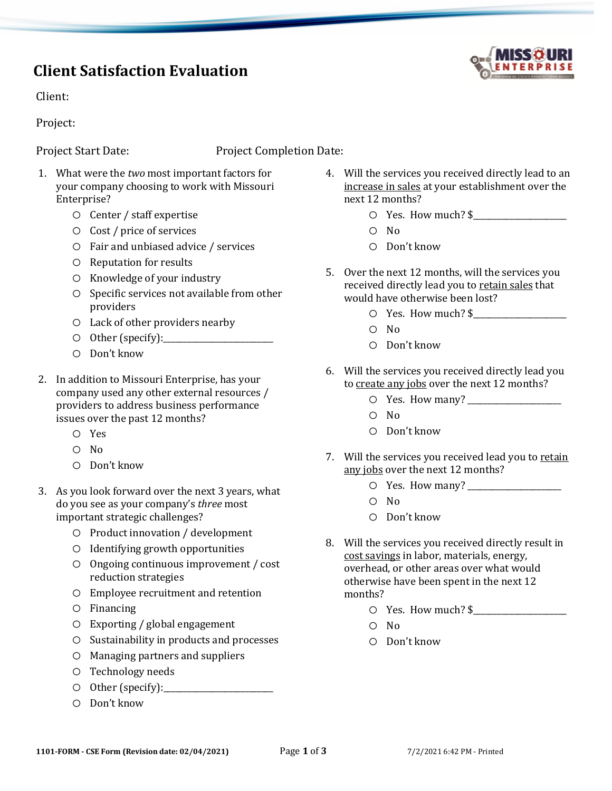## **Client Satisfaction Evaluation**

Client:

Project:

Project Start Date:Project Completion Date:

- 1. What were the *two* most important factors for your company choosing to work with Missouri Enterprise?
	- o Center / staff expertise
	- o Cost / price of services
	- o Fair and unbiased advice / services
	- o Reputation for results
	- o Knowledge of your industry
	- o Specific services not available from other providers
	- o Lack of other providers nearby
	- o Other (specify):\_\_\_\_\_\_\_\_\_\_\_\_\_\_\_\_\_\_\_\_\_\_\_\_\_\_\_
	- o Don't know
- 2. In addition to Missouri Enterprise, has your company used any other external resources / providers to address business performance issues over the past 12 months?
	- o Yes
	- o No
	- o Don't know
- 3. As you look forward over the next 3 years, what do you see as your company's *three* most important strategic challenges?
	- o Product innovation / development
	- o Identifying growth opportunities
	- o Ongoing continuous improvement / cost reduction strategies
	- o Employee recruitment and retention
	- o Financing
	- o Exporting / global engagement
	- o Sustainability in products and processes
	- o Managing partners and suppliers
	- o Technology needs
	- o Other (specify):\_\_\_\_\_\_\_\_\_\_\_\_\_\_\_\_\_\_\_\_\_\_\_\_\_\_\_
	- o Don't know
- 4. Will the services you received directly lead to an increase in sales at your establishment over the next 12 months?
	- $\circ$  Yes. How much?  $\frac{1}{2}$
	- o No
	- o Don't know
- 5. Over the next 12 months, will the services you received directly lead you to retain sales that would have otherwise been lost?
	- $\circ$  Yes. How much?  $\frac{1}{2}$
	- o No
	- o Don't know
- 6. Will the services you received directly lead you to create any jobs over the next 12 months?
	- o Yes. How many? \_\_\_\_\_\_\_\_\_\_\_\_\_\_\_\_\_\_\_\_\_\_\_
	- o No
	- o Don't know
- 7. Will the services you received lead you to retain any jobs over the next 12 months?
	- $\circ$  Yes. How many?
	- o No
	- o Don't know
- 8. Will the services you received directly result in cost savings in labor, materials, energy, overhead, or other areas over what would otherwise have been spent in the next 12 months?
	- o Yes. How much? \$\_\_\_\_\_\_\_\_\_\_\_\_\_\_\_\_\_\_\_\_\_\_\_
	- o No
	- o Don't know

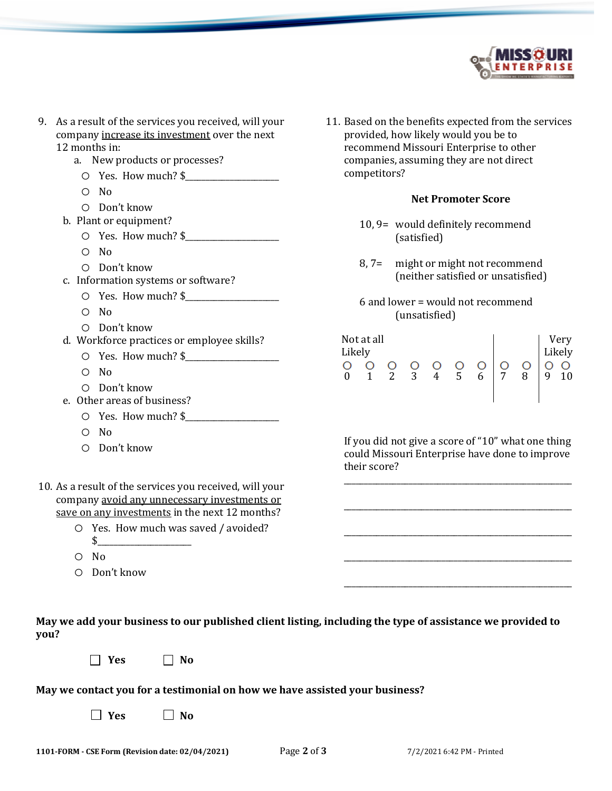

- 9. As a result of the services you received, will your company increase its investment over the next 12 months in:
	- a. New products or processes?
		- $\circ$  Yes. How much? \$
		- o No
		- o Don't know
	- b. Plant or equipment?
		- $\circ$  Yes. How much?  $\frac{1}{2}$
		- o No
		- o Don't know
	- c. Information systems or software?
		- $\circ$  Yes. How much? \$
		- o No
		- o Don't know
	- d. Workforce practices or employee skills?
		- o Yes. How much? \$\_\_\_\_\_\_\_\_\_\_\_\_\_\_\_\_\_\_\_\_\_\_\_
		- o No
		- o Don't know
	- e. Other areas of business?
		- $\circ$  Yes. How much?  $\frac{1}{2}$
		- o No
		- o Don't know
- 10. As a result of the services you received, will your company avoid any unnecessary investments or save on any investments in the next 12 months?
	- o Yes. How much was saved / avoided?  $\updownarrow$
	- o No
	- o Don't know
- **May we add your business to our published client listing, including the type of assistance we provided to you?**
	- $\Box$  Yes  $\Box$  No

## **May we contact you for a testimonial on how we have assisted your business?**

 $\Box$  Yes  $\Box$  No

Likely Likely  $O$  O 0 1 2 3 4 5 6 7 8 9 10

Not at all Very

11. Based on the benefits expected from the services

**Net Promoter Score**

10, 9= would definitely recommend

8, 7= might or might not recommend

6 and lower = would not recommend

(neither satisfied or unsatisfied)

(satisfied)

(unsatisfied)

provided, how likely would you be to recommend Missouri Enterprise to other companies, assuming they are not direct

competitors?

If you did not give a score of "10" what one thing could Missouri Enterprise have done to improve their score?

\_\_\_\_\_\_\_\_\_\_\_\_\_\_\_\_\_\_\_\_\_\_\_\_\_\_\_\_\_\_\_\_\_\_\_\_\_\_\_\_\_\_\_\_\_\_\_\_\_\_\_\_\_\_\_\_

\_\_\_\_\_\_\_\_\_\_\_\_\_\_\_\_\_\_\_\_\_\_\_\_\_\_\_\_\_\_\_\_\_\_\_\_\_\_\_\_\_\_\_\_\_\_\_\_\_\_\_\_\_\_\_\_

\_\_\_\_\_\_\_\_\_\_\_\_\_\_\_\_\_\_\_\_\_\_\_\_\_\_\_\_\_\_\_\_\_\_\_\_\_\_\_\_\_\_\_\_\_\_\_\_\_\_\_\_\_\_\_\_

\_\_\_\_\_\_\_\_\_\_\_\_\_\_\_\_\_\_\_\_\_\_\_\_\_\_\_\_\_\_\_\_\_\_\_\_\_\_\_\_\_\_\_\_\_\_\_\_\_\_\_\_\_\_\_\_

\_\_\_\_\_\_\_\_\_\_\_\_\_\_\_\_\_\_\_\_\_\_\_\_\_\_\_\_\_\_\_\_\_\_\_\_\_\_\_\_\_\_\_\_\_\_\_\_\_\_\_\_\_\_\_\_